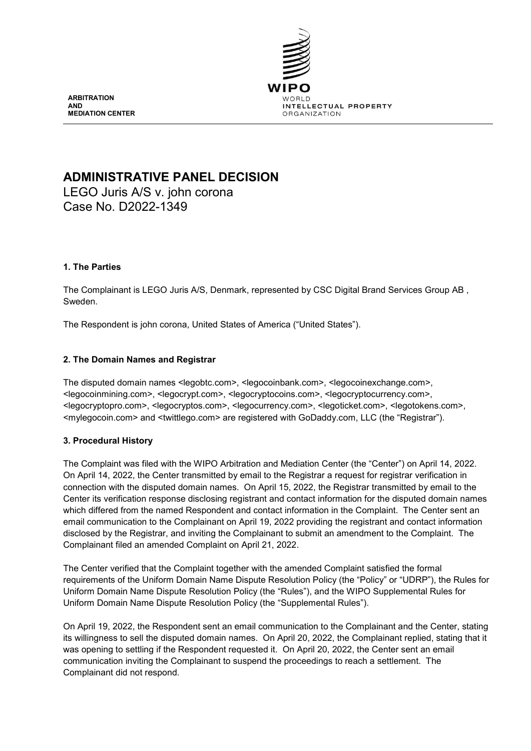

**ARBITRATION AND MEDIATION CENTER**

# **ADMINISTRATIVE PANEL DECISION**

LEGO Juris A/S v. john corona Case No. D2022-1349

# **1. The Parties**

The Complainant is LEGO Juris A/S, Denmark, represented by CSC Digital Brand Services Group AB , Sweden.

The Respondent is john corona, United States of America ("United States").

### **2. The Domain Names and Registrar**

The disputed domain names <legobtc.com>, <legocoinbank.com>, <legocoinexchange.com>, <legocoinmining.com>, <legocrypt.com>, <legocryptocoins.com>, <legocryptocurrency.com>, <legocryptopro.com>, <legocryptos.com>, <legocurrency.com>, <legoticket.com>, <legotokens.com>, <mylegocoin.com> and <twittlego.com> are registered with GoDaddy.com, LLC (the "Registrar").

# **3. Procedural History**

The Complaint was filed with the WIPO Arbitration and Mediation Center (the "Center") on April 14, 2022. On April 14, 2022, the Center transmitted by email to the Registrar a request for registrar verification in connection with the disputed domain names. On April 15, 2022, the Registrar transmitted by email to the Center its verification response disclosing registrant and contact information for the disputed domain names which differed from the named Respondent and contact information in the Complaint. The Center sent an email communication to the Complainant on April 19, 2022 providing the registrant and contact information disclosed by the Registrar, and inviting the Complainant to submit an amendment to the Complaint. The Complainant filed an amended Complaint on April 21, 2022.

The Center verified that the Complaint together with the amended Complaint satisfied the formal requirements of the Uniform Domain Name Dispute Resolution Policy (the "Policy" or "UDRP"), the Rules for Uniform Domain Name Dispute Resolution Policy (the "Rules"), and the WIPO Supplemental Rules for Uniform Domain Name Dispute Resolution Policy (the "Supplemental Rules").

On April 19, 2022, the Respondent sent an email communication to the Complainant and the Center, stating its willingness to sell the disputed domain names. On April 20, 2022, the Complainant replied, stating that it was opening to settling if the Respondent requested it. On April 20, 2022, the Center sent an email communication inviting the Complainant to suspend the proceedings to reach a settlement. The Complainant did not respond.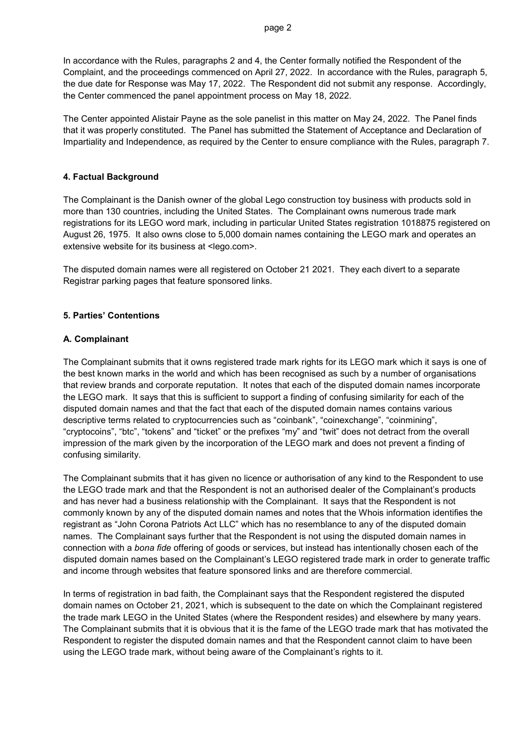In accordance with the Rules, paragraphs 2 and 4, the Center formally notified the Respondent of the Complaint, and the proceedings commenced on April 27, 2022. In accordance with the Rules, paragraph 5, the due date for Response was May 17, 2022. The Respondent did not submit any response. Accordingly, the Center commenced the panel appointment process on May 18, 2022.

The Center appointed Alistair Payne as the sole panelist in this matter on May 24, 2022. The Panel finds that it was properly constituted. The Panel has submitted the Statement of Acceptance and Declaration of Impartiality and Independence, as required by the Center to ensure compliance with the Rules, paragraph 7.

#### **4. Factual Background**

The Complainant is the Danish owner of the global Lego construction toy business with products sold in more than 130 countries, including the United States. The Complainant owns numerous trade mark registrations for its LEGO word mark, including in particular United States registration 1018875 registered on August 26, 1975. It also owns close to 5,000 domain names containing the LEGO mark and operates an extensive website for its business at <lego.com>.

The disputed domain names were all registered on October 21 2021. They each divert to a separate Registrar parking pages that feature sponsored links.

#### **5. Parties' Contentions**

#### **A. Complainant**

The Complainant submits that it owns registered trade mark rights for its LEGO mark which it says is one of the best known marks in the world and which has been recognised as such by a number of organisations that review brands and corporate reputation. It notes that each of the disputed domain names incorporate the LEGO mark. It says that this is sufficient to support a finding of confusing similarity for each of the disputed domain names and that the fact that each of the disputed domain names contains various descriptive terms related to cryptocurrencies such as "coinbank", "coinexchange", "coinmining", "cryptocoins", "btc", "tokens" and "ticket" or the prefixes "my" and "twit" does not detract from the overall impression of the mark given by the incorporation of the LEGO mark and does not prevent a finding of confusing similarity.

The Complainant submits that it has given no licence or authorisation of any kind to the Respondent to use the LEGO trade mark and that the Respondent is not an authorised dealer of the Complainant's products and has never had a business relationship with the Complainant. It says that the Respondent is not commonly known by any of the disputed domain names and notes that the Whois information identifies the registrant as "John Corona Patriots Act LLC" which has no resemblance to any of the disputed domain names. The Complainant says further that the Respondent is not using the disputed domain names in connection with a *bona fide* offering of goods or services, but instead has intentionally chosen each of the disputed domain names based on the Complainant's LEGO registered trade mark in order to generate traffic and income through websites that feature sponsored links and are therefore commercial.

In terms of registration in bad faith, the Complainant says that the Respondent registered the disputed domain names on October 21, 2021, which is subsequent to the date on which the Complainant registered the trade mark LEGO in the United States (where the Respondent resides) and elsewhere by many years. The Complainant submits that it is obvious that it is the fame of the LEGO trade mark that has motivated the Respondent to register the disputed domain names and that the Respondent cannot claim to have been using the LEGO trade mark, without being aware of the Complainant's rights to it.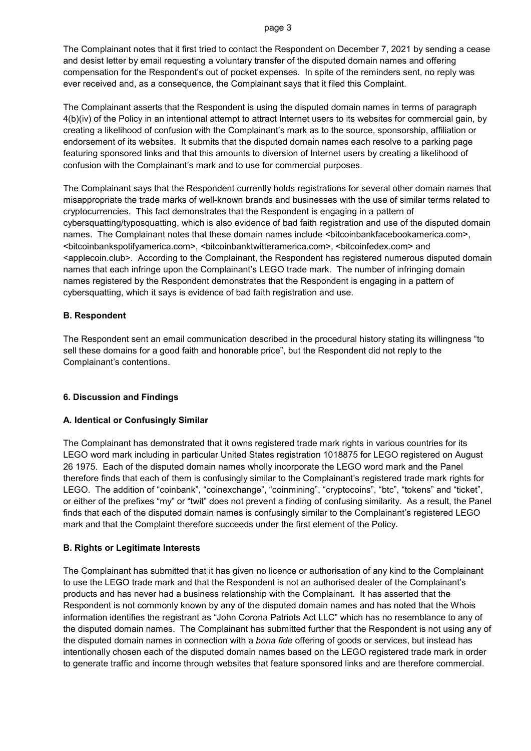#### page 3

The Complainant notes that it first tried to contact the Respondent on December 7, 2021 by sending a cease and desist letter by email requesting a voluntary transfer of the disputed domain names and offering compensation for the Respondent's out of pocket expenses. In spite of the reminders sent, no reply was ever received and, as a consequence, the Complainant says that it filed this Complaint.

The Complainant asserts that the Respondent is using the disputed domain names in terms of paragraph 4(b)(iv) of the Policy in an intentional attempt to attract Internet users to its websites for commercial gain, by creating a likelihood of confusion with the Complainant's mark as to the source, sponsorship, affiliation or endorsement of its websites. It submits that the disputed domain names each resolve to a parking page featuring sponsored links and that this amounts to diversion of Internet users by creating a likelihood of confusion with the Complainant's mark and to use for commercial purposes.

The Complainant says that the Respondent currently holds registrations for several other domain names that misappropriate the trade marks of well-known brands and businesses with the use of similar terms related to cryptocurrencies. This fact demonstrates that the Respondent is engaging in a pattern of cybersquatting/typosquatting, which is also evidence of bad faith registration and use of the disputed domain names. The Complainant notes that these domain names include <bitcoinbankfacebookamerica.com>, <bitcoinbankspotifyamerica.com>, <bitcoinbanktwitteramerica.com>, <bitcoinfedex.com> and <applecoin.club>. According to the Complainant, the Respondent has registered numerous disputed domain names that each infringe upon the Complainant's LEGO trade mark. The number of infringing domain names registered by the Respondent demonstrates that the Respondent is engaging in a pattern of cybersquatting, which it says is evidence of bad faith registration and use.

# **B. Respondent**

The Respondent sent an email communication described in the procedural history stating its willingness "to sell these domains for a good faith and honorable price", but the Respondent did not reply to the Complainant's contentions.

# **6. Discussion and Findings**

### **A. Identical or Confusingly Similar**

The Complainant has demonstrated that it owns registered trade mark rights in various countries for its LEGO word mark including in particular United States registration 1018875 for LEGO registered on August 26 1975. Each of the disputed domain names wholly incorporate the LEGO word mark and the Panel therefore finds that each of them is confusingly similar to the Complainant's registered trade mark rights for LEGO. The addition of "coinbank", "coinexchange", "coinmining", "cryptocoins", "btc", "tokens" and "ticket", or either of the prefixes "my" or "twit" does not prevent a finding of confusing similarity. As a result, the Panel finds that each of the disputed domain names is confusingly similar to the Complainant's registered LEGO mark and that the Complaint therefore succeeds under the first element of the Policy.

### **B. Rights or Legitimate Interests**

The Complainant has submitted that it has given no licence or authorisation of any kind to the Complainant to use the LEGO trade mark and that the Respondent is not an authorised dealer of the Complainant's products and has never had a business relationship with the Complainant. It has asserted that the Respondent is not commonly known by any of the disputed domain names and has noted that the Whois information identifies the registrant as "John Corona Patriots Act LLC" which has no resemblance to any of the disputed domain names. The Complainant has submitted further that the Respondent is not using any of the disputed domain names in connection with a *bona fide* offering of goods or services, but instead has intentionally chosen each of the disputed domain names based on the LEGO registered trade mark in order to generate traffic and income through websites that feature sponsored links and are therefore commercial.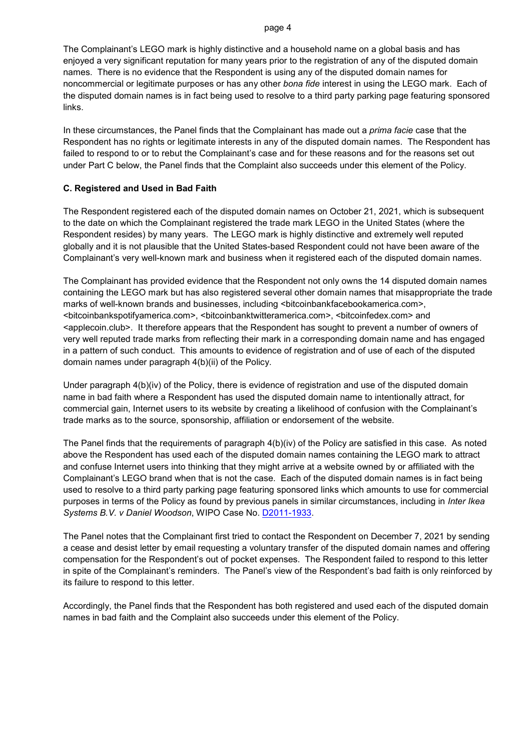#### page 4

The Complainant's LEGO mark is highly distinctive and a household name on a global basis and has enjoyed a very significant reputation for many years prior to the registration of any of the disputed domain names. There is no evidence that the Respondent is using any of the disputed domain names for noncommercial or legitimate purposes or has any other *bona fide* interest in using the LEGO mark. Each of the disputed domain names is in fact being used to resolve to a third party parking page featuring sponsored links.

In these circumstances, the Panel finds that the Complainant has made out a *prima facie* case that the Respondent has no rights or legitimate interests in any of the disputed domain names. The Respondent has failed to respond to or to rebut the Complainant's case and for these reasons and for the reasons set out under Part C below, the Panel finds that the Complaint also succeeds under this element of the Policy.

### **C. Registered and Used in Bad Faith**

The Respondent registered each of the disputed domain names on October 21, 2021, which is subsequent to the date on which the Complainant registered the trade mark LEGO in the United States (where the Respondent resides) by many years. The LEGO mark is highly distinctive and extremely well reputed globally and it is not plausible that the United States-based Respondent could not have been aware of the Complainant's very well-known mark and business when it registered each of the disputed domain names.

The Complainant has provided evidence that the Respondent not only owns the 14 disputed domain names containing the LEGO mark but has also registered several other domain names that misappropriate the trade marks of well-known brands and businesses, including <br/>blitcoinbankfacebookamerica.com>, <bitcoinbankspotifyamerica.com>, <bitcoinbanktwitteramerica.com>, <bitcoinfedex.com> and <applecoin.club>. It therefore appears that the Respondent has sought to prevent a number of owners of very well reputed trade marks from reflecting their mark in a corresponding domain name and has engaged in a pattern of such conduct. This amounts to evidence of registration and of use of each of the disputed domain names under paragraph 4(b)(ii) of the Policy.

Under paragraph 4(b)(iv) of the Policy, there is evidence of registration and use of the disputed domain name in bad faith where a Respondent has used the disputed domain name to intentionally attract, for commercial gain, Internet users to its website by creating a likelihood of confusion with the Complainant's trade marks as to the source, sponsorship, affiliation or endorsement of the website.

The Panel finds that the requirements of paragraph 4(b)(iv) of the Policy are satisfied in this case. As noted above the Respondent has used each of the disputed domain names containing the LEGO mark to attract and confuse Internet users into thinking that they might arrive at a website owned by or affiliated with the Complainant's LEGO brand when that is not the case. Each of the disputed domain names is in fact being used to resolve to a third party parking page featuring sponsored links which amounts to use for commercial purposes in terms of the Policy as found by previous panels in similar circumstances, including in *Inter Ikea Systems B.V. v Daniel Woodson*, WIPO Case No. [D2011-1933.](https://www.wipo.int/amc/en/domains/search/text.jsp?case=D2011-1933)

The Panel notes that the Complainant first tried to contact the Respondent on December 7, 2021 by sending a cease and desist letter by email requesting a voluntary transfer of the disputed domain names and offering compensation for the Respondent's out of pocket expenses. The Respondent failed to respond to this letter in spite of the Complainant's reminders. The Panel's view of the Respondent's bad faith is only reinforced by its failure to respond to this letter.

Accordingly, the Panel finds that the Respondent has both registered and used each of the disputed domain names in bad faith and the Complaint also succeeds under this element of the Policy.